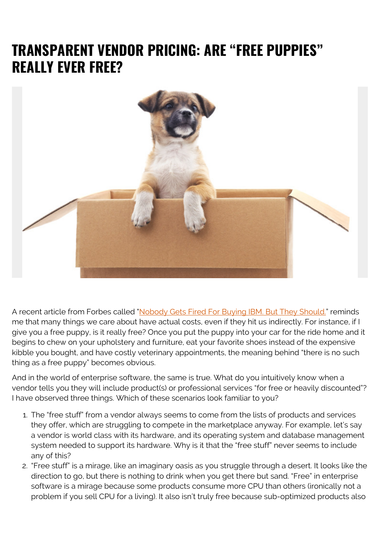## **TRANSPARENT VENDOR PRICING: ARE "FREE PUPPIES" REALLY EVER FREE?**



A recent article from Forbes called ["Nobody Gets Fired For Buying IBM. But They Should."](https://www.forbes.com/sites/duenablomstrom1/2018/11/30/nobody-gets-fired-for-buying-ibm-but-they-should/) reminds me that many things we care about have actual costs, even if they hit us indirectly. For instance, if I give you a free puppy, is it really free? Once you put the puppy into your car for the ride home and it begins to chew on your upholstery and furniture, eat your favorite shoes instead of the expensive kibble you bought, and have costly veterinary appointments, the meaning behind "there is no such thing as a free puppy" becomes obvious.

And in the world of enterprise software, the same is true. What do you intuitively know when a vendor tells you they will include product(s) or professional services "for free or heavily discounted"? I have observed three things. Which of these scenarios look familiar to you?

- 1. The "free stuff" from a vendor always seems to come from the lists of products and services they offer, which are struggling to compete in the marketplace anyway. For example, let's say a vendor is world class with its hardware, and its operating system and database management system needed to support its hardware. Why is it that the "free stuff" never seems to include any of this?
- 2. "Free stuff" is a mirage, like an imaginary oasis as you struggle through a desert. It looks like the direction to go, but there is nothing to drink when you get there but sand. "Free" in enterprise software is a mirage because some products consume more CPU than others (ironically not a problem if you sell CPU for a living). It also isn't truly free because sub-optimized products also